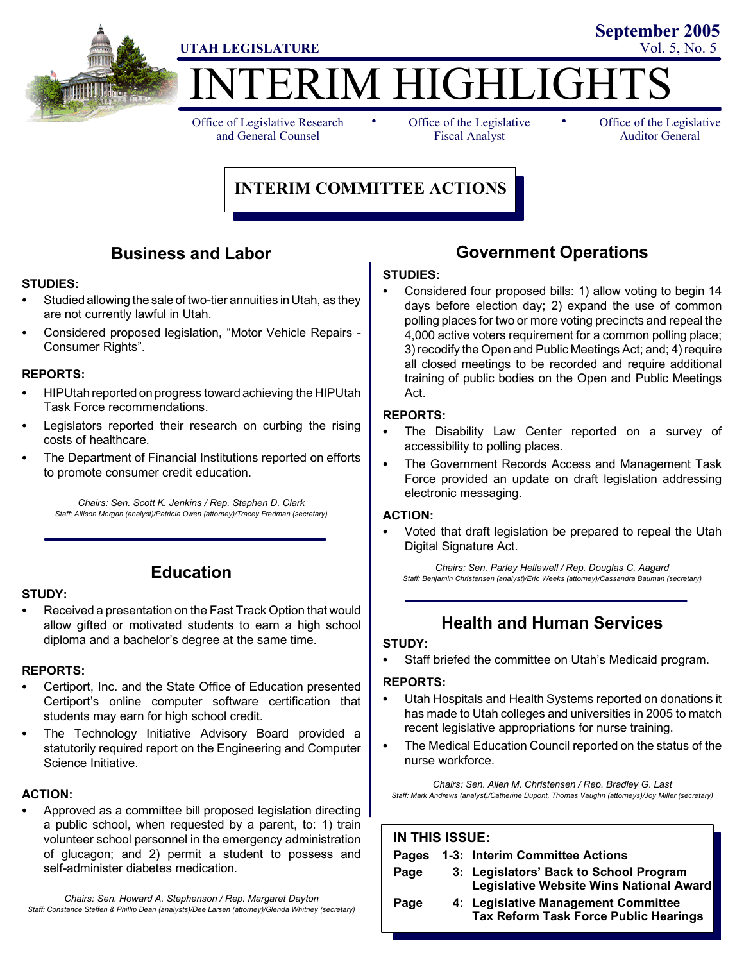

# **IERIM HIGHLIGHT**

Office of Legislative Research and General Counsel

• Office of the Legislative • Fiscal Analyst

Office of the Legislative Auditor General

**September 2005**

# **INTERIM COMMITTEE ACTIONS**

# **Business and Labor**

#### **STUDIES:**

- Studied allowing the sale of two-tier annuities in Utah, as they are not currently lawful in Utah.
- Considered proposed legislation, "Motor Vehicle Repairs -Consumer Rights".

#### **REPORTS:**

- HIPUtah reported on progress toward achieving the HIPUtah Task Force recommendations.
- Legislators reported their research on curbing the rising costs of healthcare.
- The Department of Financial Institutions reported on efforts to promote consumer credit education.

*Chairs: Sen. Scott K. Jenkins / Rep. Stephen D. Clark Staff: Allison Morgan (analyst)/Patricia Owen (attorney)/Tracey Fredman (secretary)*

# **Education**

#### **STUDY:**

Received a presentation on the Fast Track Option that would allow gifted or motivated students to earn a high school diploma and a bachelor's degree at the same time.

#### **REPORTS:**

- Certiport, Inc. and the State Office of Education presented Certiport's online computer software certification that students may earn for high school credit.
- The Technology Initiative Advisory Board provided a statutorily required report on the Engineering and Computer Science Initiative.

#### **ACTION:**

Approved as a committee bill proposed legislation directing a public school, when requested by a parent, to: 1) train volunteer school personnel in the emergency administration of glucagon; and 2) permit a student to possess and self-administer diabetes medication.

*Chairs: Sen. Howard A. Stephenson / Rep. Margaret Dayton Staff: Constance Steffen & Phillip Dean (analysts)/Dee Larsen (attorney)/Glenda Whitney (secretary)*

## **Government Operations**

#### **STUDIES:**

Considered four proposed bills: 1) allow voting to begin 14 days before election day; 2) expand the use of common polling places for two or more voting precincts and repeal the 4,000 active voters requirement for a common polling place; 3) recodify the Open and Public Meetings Act; and; 4) require all closed meetings to be recorded and require additional training of public bodies on the Open and Public Meetings Act.

#### **REPORTS:**

- The Disability Law Center reported on a survey of accessibility to polling places.
- The Government Records Access and Management Task Force provided an update on draft legislation addressing electronic messaging.

#### **ACTION:**

Voted that draft legislation be prepared to repeal the Utah Digital Signature Act.

*Chairs: Sen. Parley Hellewell / Rep. Douglas C. Aagard Staff: Benjamin Christensen (analyst)/Eric Weeks (attorney)/Cassandra Bauman (secretary)*

# **Health and Human Services**

#### **STUDY:**

Staff briefed the committee on Utah's Medicaid program.

#### **REPORTS:**

- Utah Hospitals and Health Systems reported on donations it has made to Utah colleges and universities in 2005 to match recent legislative appropriations for nurse training.
- The Medical Education Council reported on the status of the nurse workforce.

*Chairs: Sen. Allen M. Christensen / Rep. Bradley G. Last Staff: Mark Andrews (analyst)/Catherine Dupont, Thomas Vaughn (attorneys)/Joy Miller (secretary)*

#### **IN THIS ISSUE:**

| .            |  |                                                                                     |
|--------------|--|-------------------------------------------------------------------------------------|
| <b>Pages</b> |  | 1-3: Interim Committee Actions                                                      |
| Page         |  | 3: Legislators' Back to School Program<br>Legislative Website Wins National Award   |
| Page         |  | 4: Legislative Management Committee<br><b>Tax Reform Task Force Public Hearings</b> |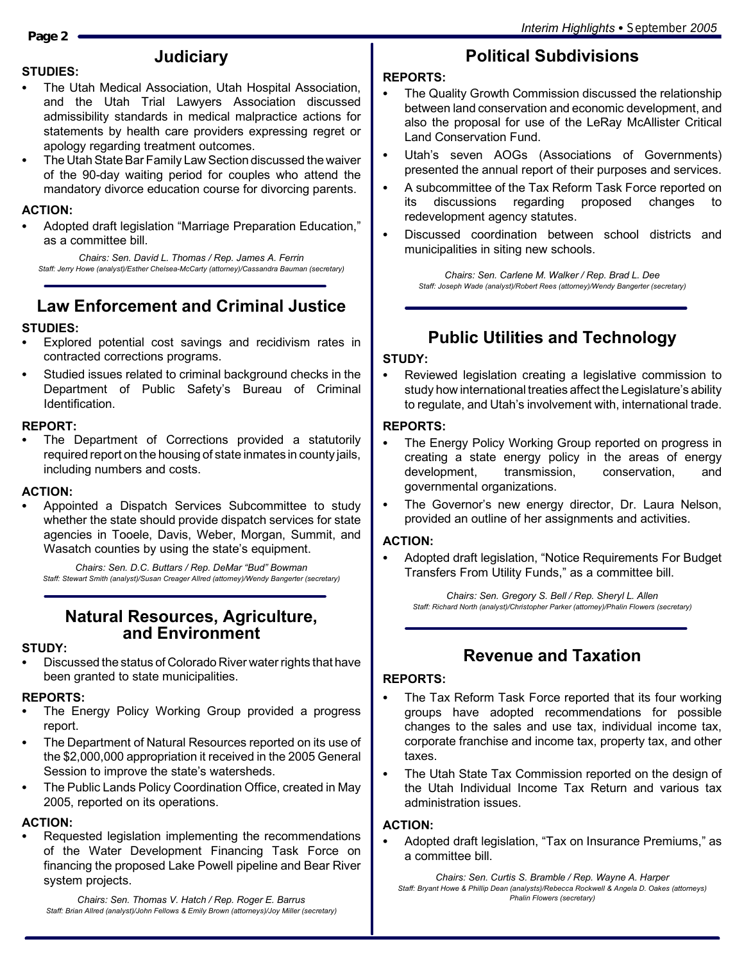# **Judiciary**

- The Utah Medical Association, Utah Hospital Association, and the Utah Trial Lawyers Association discussed admissibility standards in medical malpractice actions for statements by health care providers expressing regret or apology regarding treatment outcomes.
- The Utah State Bar Family Law Section discussed the waiver of the 90-day waiting period for couples who attend the mandatory divorce education course for divorcing parents.

#### **ACTION:**

Adopted draft legislation "Marriage Preparation Education," as a committee bill.

*Chairs: Sen. David L. Thomas / Rep. James A. Ferrin Staff: Jerry Howe (analyst)/Esther Chelsea-McCarty (attorney)/Cassandra Bauman (secretary)*

# **Law Enforcement and Criminal Justice**

#### **STUDIES:**

- Explored potential cost savings and recidivism rates in contracted corrections programs.
- Studied issues related to criminal background checks in the Department of Public Safety's Bureau of Criminal Identification.

#### **REPORT:**

The Department of Corrections provided a statutorily required report on the housing of state inmates in county jails, including numbers and costs.

#### **ACTION:**

Appointed a Dispatch Services Subcommittee to study whether the state should provide dispatch services for state agencies in Tooele, Davis, Weber, Morgan, Summit, and Wasatch counties by using the state's equipment.

*Chairs: Sen. D.C. Buttars / Rep. DeMar "Bud" Bowman Staff: Stewart Smith (analyst)/Susan Creager Allred (attorney)/Wendy Bangerter (secretary)*

### **Natural Resources, Agriculture, and Environment**

#### **STUDY:**

Discussed the status of Colorado River water rights that have been granted to state municipalities.

#### **REPORTS:**

- The Energy Policy Working Group provided a progress report.
- The Department of Natural Resources reported on its use of the \$2,000,000 appropriation it received in the 2005 General Session to improve the state's watersheds.
- The Public Lands Policy Coordination Office, created in May 2005, reported on its operations.

#### **ACTION:**

Requested legislation implementing the recommendations of the Water Development Financing Task Force on financing the proposed Lake Powell pipeline and Bear River system projects.

*Chairs: Sen. Thomas V. Hatch / Rep. Roger E. Barrus Staff: Brian Allred (analyst)/John Fellows & Emily Brown (attorneys)/Joy Miller (secretary)*

# **Political Subdivisions**

#### **REPORTS:**

- The Quality Growth Commission discussed the relationship between land conservation and economic development, and also the proposal for use of the LeRay McAllister Critical Land Conservation Fund.
- Utah's seven AOGs (Associations of Governments) presented the annual report of their purposes and services.
- A subcommittee of the Tax Reform Task Force reported on its discussions regarding proposed changes to redevelopment agency statutes.
- Discussed coordination between school districts and municipalities in siting new schools.

*Chairs: Sen. Carlene M. Walker / Rep. Brad L. Dee Staff: Joseph Wade (analyst)/Robert Rees (attorney)/Wendy Bangerter (secretary)*

# **Public Utilities and Technology**

#### **STUDY:**

Reviewed legislation creating a legislative commission to study how international treaties affect the Legislature's ability to regulate, and Utah's involvement with, international trade.

#### **REPORTS:**

- The Energy Policy Working Group reported on progress in creating a state energy policy in the areas of energy development, transmission, conservation, and governmental organizations.
- The Governor's new energy director, Dr. Laura Nelson, provided an outline of her assignments and activities.

#### **ACTION:**

Adopted draft legislation, "Notice Requirements For Budget Transfers From Utility Funds," as a committee bill.

*Chairs: Sen. Gregory S. Bell / Rep. Sheryl L. Allen Staff: Richard North (analyst)/Christopher Parker (attorney)/Phalin Flowers (secretary)*

# **Revenue and Taxation**

#### **REPORTS:**

- The Tax Reform Task Force reported that its four working groups have adopted recommendations for possible changes to the sales and use tax, individual income tax, corporate franchise and income tax, property tax, and other taxes.
- The Utah State Tax Commission reported on the design of the Utah Individual Income Tax Return and various tax administration issues.

#### **ACTION:**

Adopted draft legislation, "Tax on Insurance Premiums," as a committee bill.

*Chairs: Sen. Curtis S. Bramble / Rep. Wayne A. Harper Staff: Bryant Howe & Phillip Dean (analysts)/Rebecca Rockwell & Angela D. Oakes (attorneys) Phalin Flowers (secretary)*

**STUDIES:**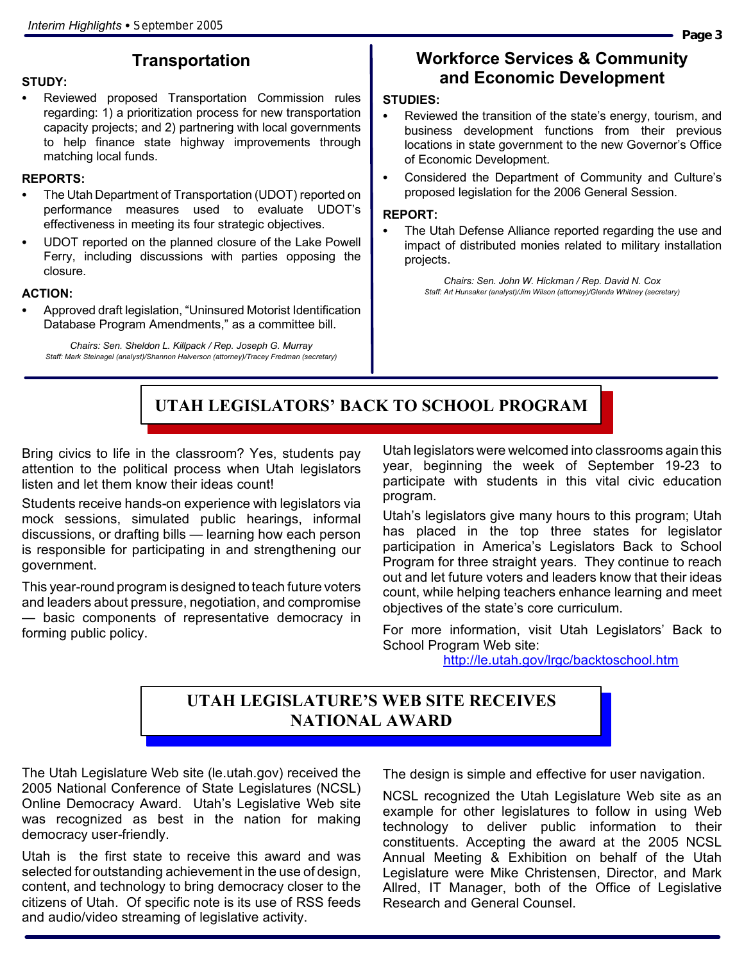## **Transportation**

#### **STUDY:**

Reviewed proposed Transportation Commission rules regarding: 1) a prioritization process for new transportation capacity projects; and 2) partnering with local governments to help finance state highway improvements through matching local funds.

#### **REPORTS:**

- The Utah Department of Transportation (UDOT) reported on performance measures used to evaluate UDOT's effectiveness in meeting its four strategic objectives.
- UDOT reported on the planned closure of the Lake Powell Ferry, including discussions with parties opposing the closure.

#### **ACTION:**

Approved draft legislation, "Uninsured Motorist Identification Database Program Amendments," as a committee bill.

*Chairs: Sen. Sheldon L. Killpack / Rep. Joseph G. Murray Staff: Mark Steinagel (analyst)/Shannon Halverson (attorney)/Tracey Fredman (secretary)*

## **Workforce Services & Community and Economic Development**

#### **STUDIES:**

- Reviewed the transition of the state's energy, tourism, and business development functions from their previous locations in state government to the new Governor's Office of Economic Development.
- Considered the Department of Community and Culture's proposed legislation for the 2006 General Session.

#### **REPORT:**

The Utah Defense Alliance reported regarding the use and impact of distributed monies related to military installation projects.

> *Chairs: Sen. John W. Hickman / Rep. David N. Cox Staff: Art Hunsaker (analyst)/Jim Wilson (attorney)/Glenda Whitney (secretary)*

# **UTAH LEGISLATORS' BACK TO SCHOOL PROGRAM**

Bring civics to life in the classroom? Yes, students pay attention to the political process when Utah legislators listen and let them know their ideas count!

Students receive hands-on experience with legislators via mock sessions, simulated public hearings, informal discussions, or drafting bills — learning how each person is responsible for participating in and strengthening our government.

This year-round program is designed to teach future voters and leaders about pressure, negotiation, and compromise — basic components of representative democracy in forming public policy.

Utah legislators were welcomed into classrooms again this year, beginning the week of September 19-23 to participate with students in this vital civic education program.

Utah's legislators give many hours to this program; Utah has placed in the top three states for legislator participation in America's Legislators Back to School Program for three straight years. They continue to reach out and let future voters and leaders know that their ideas count, while helping teachers enhance learning and meet objectives of the state's core curriculum.

For more information, visit Utah Legislators' Back to School Program Web site:

http://le.utah.gov/lrgc/backtoschool.htm

## **UTAH LEGISLATURE'S WEB SITE RECEIVES NATIONAL AWARD**

The Utah Legislature Web site (le.utah.gov) received the 2005 National Conference of State Legislatures (NCSL) Online Democracy Award. Utah's Legislative Web site was recognized as best in the nation for making democracy user-friendly.

Utah is the first state to receive this award and was selected for outstanding achievement in the use of design, content, and technology to bring democracy closer to the citizens of Utah. Of specific note is its use of RSS feeds and audio/video streaming of legislative activity.

The design is simple and effective for user navigation.

NCSL recognized the Utah Legislature Web site as an example for other legislatures to follow in using Web technology to deliver public information to their constituents. Accepting the award at the 2005 NCSL Annual Meeting & Exhibition on behalf of the Utah Legislature were Mike Christensen, Director, and Mark Allred, IT Manager, both of the Office of Legislative Research and General Counsel.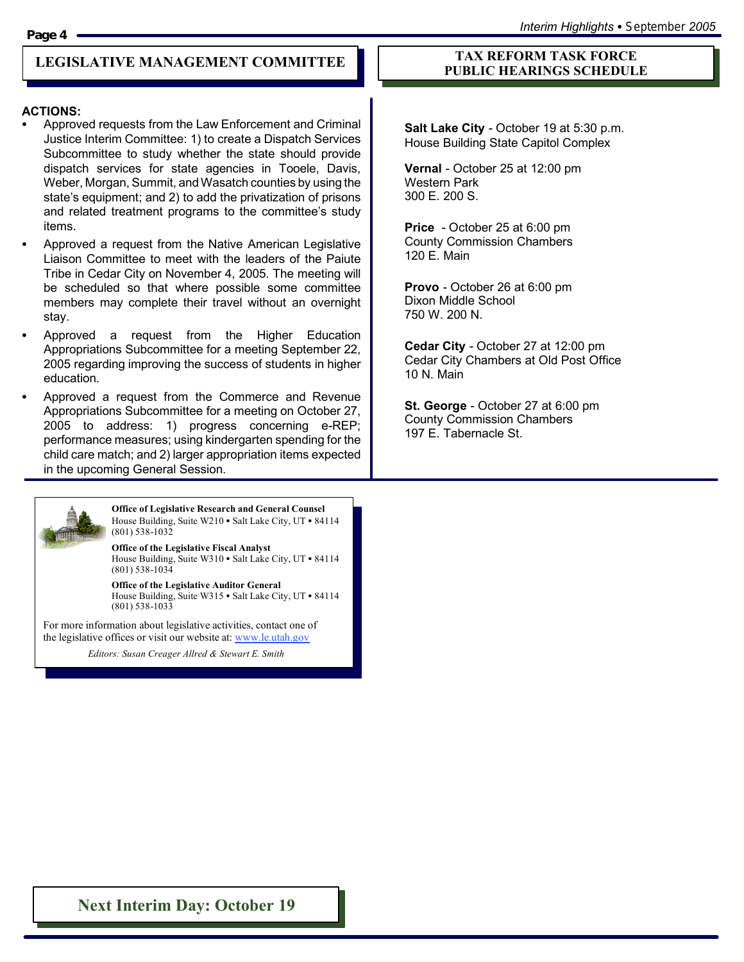#### **LEGISLATIVE MANAGEMENT COMMITTEE**

#### **ACTIONS:**

- Approved requests from the Law Enforcement and Criminal Justice Interim Committee: 1) to create a Dispatch Services Subcommittee to study whether the state should provide dispatch services for state agencies in Tooele, Davis, Weber, Morgan, Summit, and Wasatch counties by using the state's equipment; and 2) to add the privatization of prisons and related treatment programs to the committee's study items.
- Approved a request from the Native American Legislative Liaison Committee to meet with the leaders of the Paiute Tribe in Cedar City on November 4, 2005. The meeting will be scheduled so that where possible some committee members may complete their travel without an overnight stay.
- Approved a request from the Higher Education Appropriations Subcommittee for a meeting September 22, 2005 regarding improving the success of students in higher education.
- Approved a request from the Commerce and Revenue Appropriations Subcommittee for a meeting on October 27, 2005 to address: 1) progress concerning e-REP; performance measures; using kindergarten spending for the child care match; and 2) larger appropriation items expected in the upcoming General Session.



**Office of the Legislative Fiscal Analyst** House Building, Suite W310 · Salt Lake City, UT · 84114 (801) 538-1034

**Office of the Legislative Auditor General** House Building, Suite W315 • Salt Lake City, UT • 84114 (801) 538-1033

For more information about legislative activities, contact one of the legislative offices or visit our website at: www.le.utah.gov

*Editors: Susan Creager-Allred & Stewart Smith Editors: Susan Creager Allred & Stewart E. Smith*

#### **TAX REFORM TASK FORCE PUBLIC HEARINGS SCHEDULE**

**Salt Lake City** - October 19 at 5:30 p.m. House Building State Capitol Complex

**Vernal** - October 25 at 12:00 pm Western Park 300 E. 200 S.

**Price** - October 25 at 6:00 pm County Commission Chambers 120 E. Main

**Provo** - October 26 at 6:00 pm Dixon Middle School 750 W. 200 N.

**Cedar City** - October 27 at 12:00 pm Cedar City Chambers at Old Post Office 10 N. Main

**St. George** - October 27 at 6:00 pm County Commission Chambers 197 E. Tabernacle St.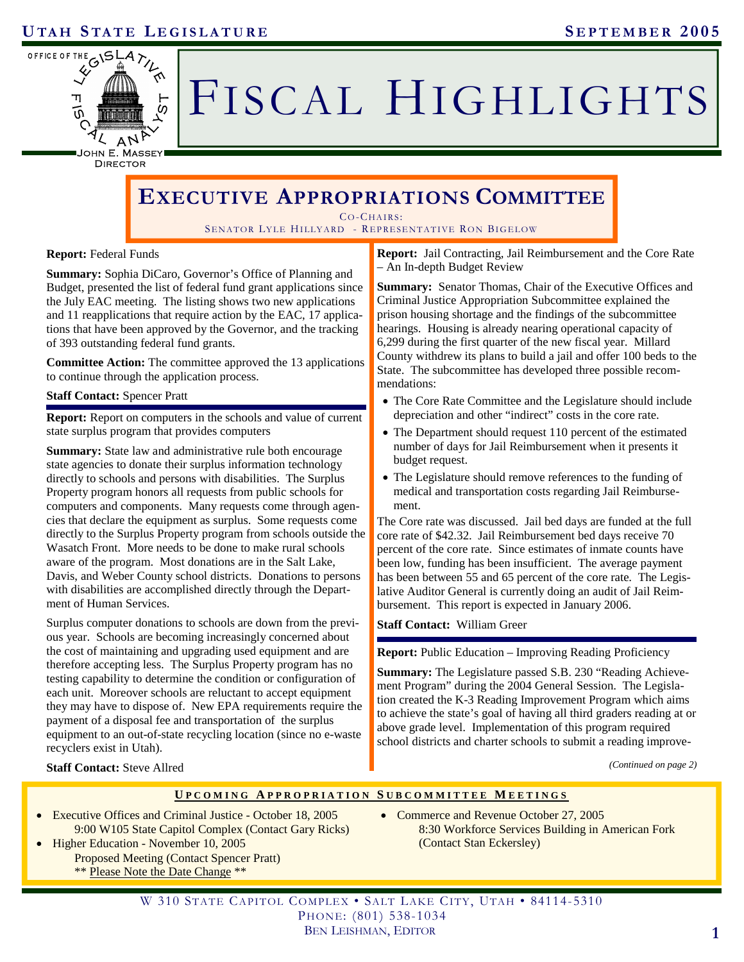

# FISCAL HIGHLIGHTS

DIRECTOR

# **EXECUTIVE APPROPRIATIONS COMMITTEE**

CO-CHAIRS:

SENATOR LYLE HILLYARD - REPRESENTATIVE RON BIGELOW

**Report:** Federal Funds

**Summary:** Sophia DiCaro, Governor's Office of Planning and Budget, presented the list of federal fund grant applications since the July EAC meeting. The listing shows two new applications and 11 reapplications that require action by the EAC, 17 applications that have been approved by the Governor, and the tracking of 393 outstanding federal fund grants.

**Committee Action:** The committee approved the 13 applications to continue through the application process.

#### **Staff Contact:** Spencer Pratt

**Report:** Report on computers in the schools and value of current state surplus program that provides computers

**Summary:** State law and administrative rule both encourage state agencies to donate their surplus information technology directly to schools and persons with disabilities. The Surplus Property program honors all requests from public schools for computers and components. Many requests come through agencies that declare the equipment as surplus. Some requests come directly to the Surplus Property program from schools outside the Wasatch Front. More needs to be done to make rural schools aware of the program. Most donations are in the Salt Lake, Davis, and Weber County school districts. Donations to persons with disabilities are accomplished directly through the Department of Human Services.

Surplus computer donations to schools are down from the previous year. Schools are becoming increasingly concerned about the cost of maintaining and upgrading used equipment and are therefore accepting less. The Surplus Property program has no testing capability to determine the condition or configuration of each unit. Moreover schools are reluctant to accept equipment they may have to dispose of. New EPA requirements require the payment of a disposal fee and transportation of the surplus equipment to an out-of-state recycling location (since no e-waste recyclers exist in Utah).

**Report:** Jail Contracting, Jail Reimbursement and the Core Rate – An In-depth Budget Review

**Summary:** Senator Thomas, Chair of the Executive Offices and Criminal Justice Appropriation Subcommittee explained the prison housing shortage and the findings of the subcommittee hearings. Housing is already nearing operational capacity of 6,299 during the first quarter of the new fiscal year. Millard County withdrew its plans to build a jail and offer 100 beds to the State. The subcommittee has developed three possible recommendations:

- The Core Rate Committee and the Legislature should include depreciation and other "indirect" costs in the core rate.
- The Department should request 110 percent of the estimated number of days for Jail Reimbursement when it presents it budget request.
- The Legislature should remove references to the funding of medical and transportation costs regarding Jail Reimbursement.

The Core rate was discussed. Jail bed days are funded at the full core rate of \$42.32. Jail Reimbursement bed days receive 70 percent of the core rate. Since estimates of inmate counts have been low, funding has been insufficient. The average payment has been between 55 and 65 percent of the core rate. The Legislative Auditor General is currently doing an audit of Jail Reimbursement. This report is expected in January 2006.

**Staff Contact:** William Greer

**Report:** Public Education – Improving Reading Proficiency

**Summary:** The Legislature passed S.B. 230 "Reading Achievement Program" during the 2004 General Session. The Legislation created the K-3 Reading Improvement Program which aims to achieve the state's goal of having all third graders reading at or above grade level. Implementation of this program required school districts and charter schools to submit a reading improve-

*(Continued on page 2)* 

**Staff Contact:** Steve Allred

#### **U PCOMING A PPROPRIATION S UBCOMMITTEE M EETINGS**

- Executive Offices and Criminal Justice October 18, 2005 9:00 W105 State Capitol Complex (Contact Gary Ricks)
- Higher Education November 10, 2005 Proposed Meeting (Contact Spencer Pratt) \*\* Please Note the Date Change \*\*

• Commerce and Revenue October 27, 2005 8:30 Workforce Services Building in American Fork (Contact Stan Eckersley)